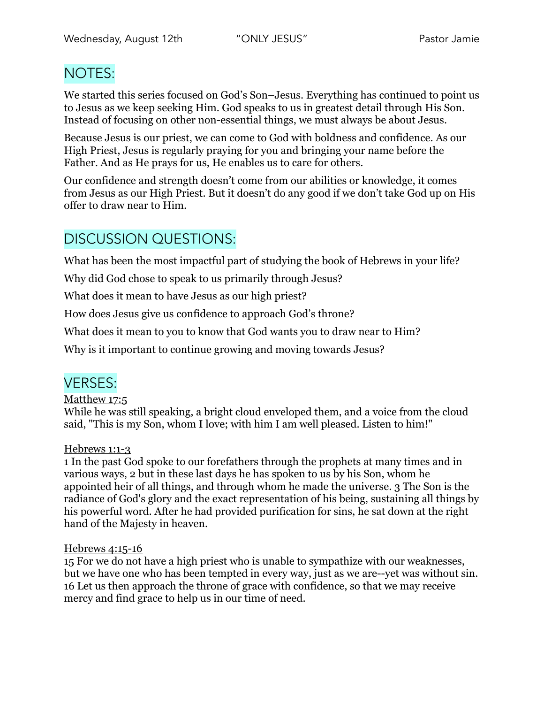# NOTES:

We started this series focused on God's Son–Jesus. Everything has continued to point us to Jesus as we keep seeking Him. God speaks to us in greatest detail through His Son. Instead of focusing on other non-essential things, we must always be about Jesus.

Because Jesus is our priest, we can come to God with boldness and confidence. As our High Priest, Jesus is regularly praying for you and bringing your name before the Father. And as He prays for us, He enables us to care for others.

Our confidence and strength doesn't come from our abilities or knowledge, it comes from Jesus as our High Priest. But it doesn't do any good if we don't take God up on His offer to draw near to Him.

# DISCUSSION QUESTIONS:

What has been the most impactful part of studying the book of Hebrews in your life?

Why did God chose to speak to us primarily through Jesus?

What does it mean to have Jesus as our high priest?

How does Jesus give us confidence to approach God's throne?

What does it mean to you to know that God wants you to draw near to Him?

Why is it important to continue growing and moving towards Jesus?

## VERSES:

### Matthew 17:5

While he was still speaking, a bright cloud enveloped them, and a voice from the cloud said, "This is my Son, whom I love; with him I am well pleased. Listen to him!"

### Hebrews 1:1-3

1 In the past God spoke to our forefathers through the prophets at many times and in various ways, 2 but in these last days he has spoken to us by his Son, whom he appointed heir of all things, and through whom he made the universe. 3 The Son is the radiance of God's glory and the exact representation of his being, sustaining all things by his powerful word. After he had provided purification for sins, he sat down at the right hand of the Majesty in heaven.

### Hebrews 4:15-16

15 For we do not have a high priest who is unable to sympathize with our weaknesses, but we have one who has been tempted in every way, just as we are--yet was without sin. 16 Let us then approach the throne of grace with confidence, so that we may receive mercy and find grace to help us in our time of need.